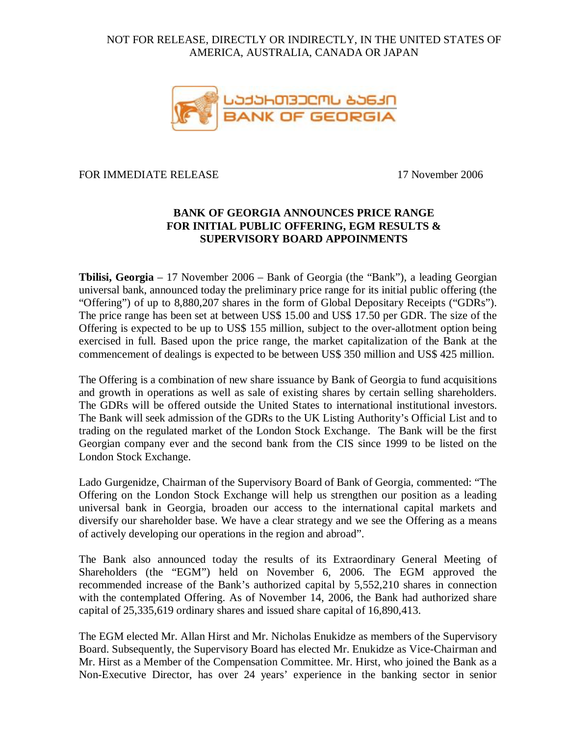# NOT FOR RELEASE, DIRECTLY OR INDIRECTLY, IN THE UNITED STATES OF AMERICA, AUSTRALIA, CANADA OR JAPAN



### FOR IMMEDIATE RELEASE 17 November 2006

# **BANK OF GEORGIA ANNOUNCES PRICE RANGE FOR INITIAL PUBLIC OFFERING, EGM RESULTS & SUPERVISORY BOARD APPOINMENTS**

**Tbilisi, Georgia** – 17 November 2006 – Bank of Georgia (the "Bank"), a leading Georgian universal bank, announced today the preliminary price range for its initial public offering (the "Offering") of up to 8,880,207 shares in the form of Global Depositary Receipts ("GDRs"). The price range has been set at between US\$ 15.00 and US\$ 17.50 per GDR. The size of the Offering is expected to be up to US\$ 155 million, subject to the over-allotment option being exercised in full. Based upon the price range, the market capitalization of the Bank at the commencement of dealings is expected to be between US\$ 350 million and US\$ 425 million.

The Offering is a combination of new share issuance by Bank of Georgia to fund acquisitions and growth in operations as well as sale of existing shares by certain selling shareholders. The GDRs will be offered outside the United States to international institutional investors. The Bank will seek admission of the GDRs to the UK Listing Authority's Official List and to trading on the regulated market of the London Stock Exchange. The Bank will be the first Georgian company ever and the second bank from the CIS since 1999 to be listed on the London Stock Exchange.

Lado Gurgenidze, Chairman of the Supervisory Board of Bank of Georgia, commented: "The Offering on the London Stock Exchange will help us strengthen our position as a leading universal bank in Georgia, broaden our access to the international capital markets and diversify our shareholder base. We have a clear strategy and we see the Offering as a means of actively developing our operations in the region and abroad".

The Bank also announced today the results of its Extraordinary General Meeting of Shareholders (the "EGM") held on November 6, 2006. The EGM approved the recommended increase of the Bank's authorized capital by 5,552,210 shares in connection with the contemplated Offering. As of November 14, 2006, the Bank had authorized share capital of 25,335,619 ordinary shares and issued share capital of 16,890,413.

The EGM elected Mr. Allan Hirst and Mr. Nicholas Enukidze as members of the Supervisory Board. Subsequently, the Supervisory Board has elected Mr. Enukidze as Vice-Chairman and Mr. Hirst as a Member of the Compensation Committee. Mr. Hirst, who joined the Bank as a Non-Executive Director, has over 24 years' experience in the banking sector in senior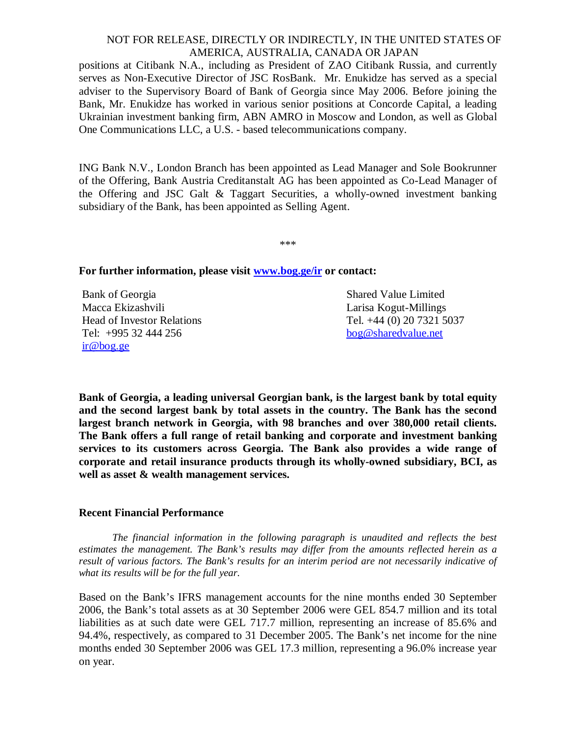### NOT FOR RELEASE, DIRECTLY OR INDIRECTLY, IN THE UNITED STATES OF AMERICA, AUSTRALIA, CANADA OR JAPAN

positions at Citibank N.A., including as President of ZAO Citibank Russia, and currently serves as Non-Executive Director of JSC RosBank. Mr. Enukidze has served as a special adviser to the Supervisory Board of Bank of Georgia since May 2006. Before joining the Bank, Mr. Enukidze has worked in various senior positions at Concorde Capital, a leading Ukrainian investment banking firm, ABN AMRO in Moscow and London, as well as Global One Communications LLC, a U.S. - based telecommunications company.

ING Bank N.V., London Branch has been appointed as Lead Manager and Sole Bookrunner of the Offering, Bank Austria Creditanstalt AG has been appointed as Co-Lead Manager of the Offering and JSC Galt & Taggart Securities, a wholly-owned investment banking subsidiary of the Bank, has been appointed as Selling Agent.

\*\*\*

### **For further information, please visit [www.bog.ge/ir](http://www.bog.ge/ir) or contact:**

Bank of Georgia Macca Ekizashvili Head of Investor Relations Tel: +995 32 444 256 [ir@bog.ge](mailto:ir@bog.ge)

Shared Value Limited Larisa Kogut-Millings Tel. +44 (0) 20 7321 5037 [bog@sharedvalue.net](mailto:bog@sharedvalue.net)

**Bank of Georgia, a leading universal Georgian bank, is the largest bank by total equity and the second largest bank by total assets in the country. The Bank has the second largest branch network in Georgia, with 98 branches and over 380,000 retail clients. The Bank offers a full range of retail banking and corporate and investment banking services to its customers across Georgia. The Bank also provides a wide range of corporate and retail insurance products through its wholly-owned subsidiary, BCI, as well as asset & wealth management services.** 

#### **Recent Financial Performance**

*The financial information in the following paragraph is unaudited and reflects the best estimates the management. The Bank's results may differ from the amounts reflected herein as a result of various factors. The Bank's results for an interim period are not necessarily indicative of what its results will be for the full year.* 

Based on the Bank's IFRS management accounts for the nine months ended 30 September 2006, the Bank's total assets as at 30 September 2006 were GEL 854.7 million and its total liabilities as at such date were GEL 717.7 million, representing an increase of 85.6% and 94.4%, respectively, as compared to 31 December 2005. The Bank's net income for the nine months ended 30 September 2006 was GEL 17.3 million, representing a 96.0% increase year on year.